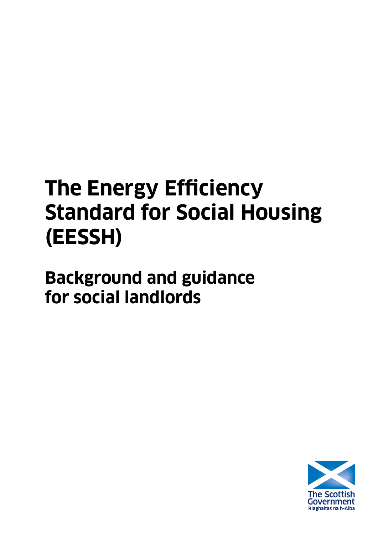# **The Energy Efficiency Standard for Social Housing (EESSH)**

**Background and guidance for social landlords** 

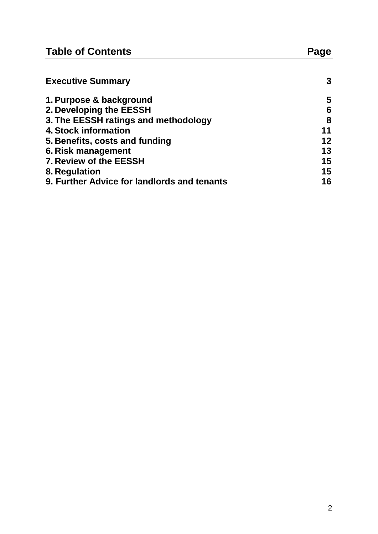| <b>Table of Contents</b>                    | Page |  |
|---------------------------------------------|------|--|
| <b>Executive Summary</b>                    | 3    |  |
| 1. Purpose & background                     | 5    |  |
| 2. Developing the EESSH                     | 6    |  |
| 3. The EESSH ratings and methodology        | 8    |  |
| 4. Stock information                        | 11   |  |
| 5. Benefits, costs and funding              | 12   |  |
| 6. Risk management                          | 13   |  |
| 7. Review of the EESSH                      | 15   |  |
| 8. Regulation                               | 15   |  |
| 9. Further Advice for landlords and tenants | 16   |  |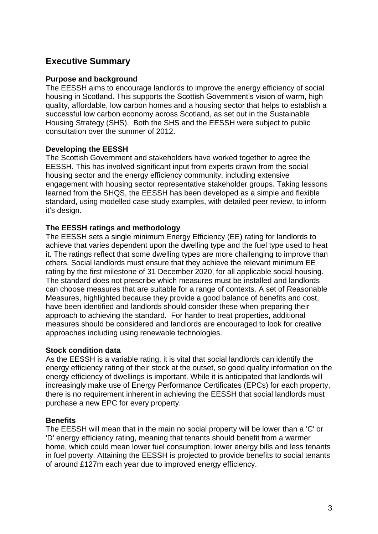# **Executive Summary**

## **Purpose and background**

The EESSH aims to encourage landlords to improve the energy efficiency of social housing in Scotland. This supports the Scottish Government's vision of warm, high quality, affordable, low carbon homes and a housing sector that helps to establish a successful low carbon economy across Scotland, as set out in the Sustainable Housing Strategy (SHS). Both the SHS and the EESSH were subject to public consultation over the summer of 2012.

## **Developing the EESSH**

The Scottish Government and stakeholders have worked together to agree the EESSH. This has involved significant input from experts drawn from the social housing sector and the energy efficiency community, including extensive engagement with housing sector representative stakeholder groups. Taking lessons learned from the SHQS, the EESSH has been developed as a simple and flexible standard, using modelled case study examples, with detailed peer review, to inform it"s design.

## **The EESSH ratings and methodology**

The EESSH sets a single minimum Energy Efficiency (EE) rating for landlords to achieve that varies dependent upon the dwelling type and the fuel type used to heat it. The ratings reflect that some dwelling types are more challenging to improve than others. Social landlords must ensure that they achieve the relevant minimum EE rating by the first milestone of 31 December 2020, for all applicable social housing. The standard does not prescribe which measures must be installed and landlords can choose measures that are suitable for a range of contexts. A set of Reasonable Measures, highlighted because they provide a good balance of benefits and cost, have been identified and landlords should consider these when preparing their approach to achieving the standard. For harder to treat properties, additional measures should be considered and landlords are encouraged to look for creative approaches including using renewable technologies.

## **Stock condition data**

As the EESSH is a variable rating, it is vital that social landlords can identify the energy efficiency rating of their stock at the outset, so good quality information on the energy efficiency of dwellings is important. While it is anticipated that landlords will increasingly make use of Energy Performance Certificates (EPCs) for each property, there is no requirement inherent in achieving the EESSH that social landlords must purchase a new EPC for every property.

## **Benefits**

The EESSH will mean that in the main no social property will be lower than a 'C' or 'D' energy efficiency rating, meaning that tenants should benefit from a warmer home, which could mean lower fuel consumption, lower energy bills and less tenants in fuel poverty. Attaining the EESSH is projected to provide benefits to social tenants of around £127m each year due to improved energy efficiency.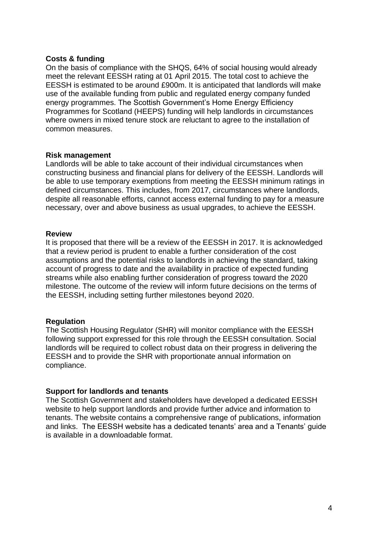#### **Costs & funding**

On the basis of compliance with the SHQS, 64% of social housing would already meet the relevant EESSH rating at 01 April 2015. The total cost to achieve the EESSH is estimated to be around £900m. It is anticipated that landlords will make use of the available funding from public and regulated energy company funded energy programmes. The Scottish Government's Home Energy Efficiency Programmes for Scotland (HEEPS) funding will help landlords in circumstances where owners in mixed tenure stock are reluctant to agree to the installation of common measures.

#### **Risk management**

Landlords will be able to take account of their individual circumstances when constructing business and financial plans for delivery of the EESSH. Landlords will be able to use temporary exemptions from meeting the EESSH minimum ratings in defined circumstances. This includes, from 2017, circumstances where landlords, despite all reasonable efforts, cannot access external funding to pay for a measure necessary, over and above business as usual upgrades, to achieve the EESSH.

#### **Review**

It is proposed that there will be a review of the EESSH in 2017. It is acknowledged that a review period is prudent to enable a further consideration of the cost assumptions and the potential risks to landlords in achieving the standard, taking account of progress to date and the availability in practice of expected funding streams while also enabling further consideration of progress toward the 2020 milestone. The outcome of the review will inform future decisions on the terms of the EESSH, including setting further milestones beyond 2020.

## **Regulation**

The Scottish Housing Regulator (SHR) will monitor compliance with the EESSH following support expressed for this role through the EESSH consultation. Social landlords will be required to collect robust data on their progress in delivering the EESSH and to provide the SHR with proportionate annual information on compliance.

## **Support for landlords and tenants**

The Scottish Government and stakeholders have developed a dedicated EESSH website to help support landlords and provide further advice and information to tenants. The website contains a comprehensive range of publications, information and links. The EESSH website has a dedicated tenants" area and a Tenants" guide is available in a downloadable format.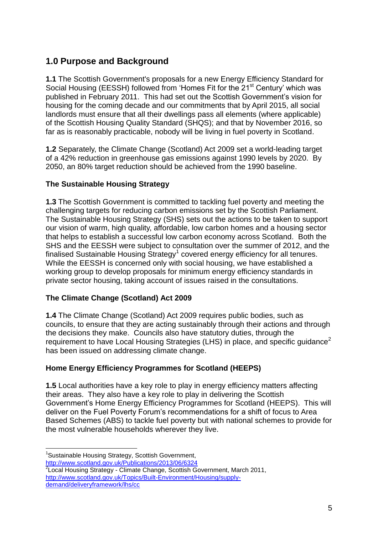# **1.0 Purpose and Background**

**1.1** The Scottish Government's proposals for a new Energy Efficiency Standard for Social Housing (EESSH) followed from 'Homes Fit for the 21<sup>st</sup> Century' which was published in February 2011. This had set out the Scottish Government"s vision for housing for the coming decade and our commitments that by April 2015, all social landlords must ensure that all their dwellings pass all elements (where applicable) of the Scottish Housing Quality Standard (SHQS); and that by November 2016, so far as is reasonably practicable, nobody will be living in fuel poverty in Scotland.

**1.2** Separately, the Climate Change (Scotland) Act 2009 set a world-leading target of a 42% reduction in greenhouse gas emissions against 1990 levels by 2020. By 2050, an 80% target reduction should be achieved from the 1990 baseline.

## **The Sustainable Housing Strategy**

**1.3** The Scottish Government is committed to tackling fuel poverty and meeting the challenging targets for reducing carbon emissions set by the Scottish Parliament. The Sustainable Housing Strategy (SHS) sets out the actions to be taken to support our vision of warm, high quality, affordable, low carbon homes and a housing sector that helps to establish a successful low carbon economy across Scotland. Both the SHS and the EESSH were subject to consultation over the summer of 2012, and the finalised Sustainable Housing Strategy<sup>1</sup> covered energy efficiency for all tenures. While the EESSH is concerned only with social housing, we have established a working group to develop proposals for minimum energy efficiency standards in private sector housing, taking account of issues raised in the consultations.

## **The Climate Change (Scotland) Act 2009**

**1.4** The Climate Change (Scotland) Act 2009 requires public bodies, such as councils, to ensure that they are acting sustainably through their actions and through the decisions they make. Councils also have statutory duties, through the requirement to have Local Housing Strategies (LHS) in place, and specific guidance<sup>2</sup> has been issued on addressing climate change.

# **Home Energy Efficiency Programmes for Scotland (HEEPS)**

**1.5** Local authorities have a key role to play in energy efficiency matters affecting their areas. They also have a key role to play in delivering the Scottish Government"s Home Energy Efficiency Programmes for Scotland (HEEPS). This will deliver on the Fuel Poverty Forum"s recommendations for a shift of focus to Area Based Schemes (ABS) to tackle fuel poverty but with national schemes to provide for the most vulnerable households wherever they live.

<u>.</u>

<sup>&</sup>lt;sup>1</sup>Sustainable Housing Strategy, Scottish Government,

<http://www.scotland.gov.uk/Publications/2013/06/6324>

 $2$ Local Housing Strategy - Climate Change, Scottish Government, March 2011, [http://www.scotland.gov.uk/Topics/Built-Environment/Housing/supply](http://www.scotland.gov.uk/Topics/Built-Environment/Housing/supply-demand/deliveryframework/lhs/cc)[demand/deliveryframework/lhs/cc](http://www.scotland.gov.uk/Topics/Built-Environment/Housing/supply-demand/deliveryframework/lhs/cc)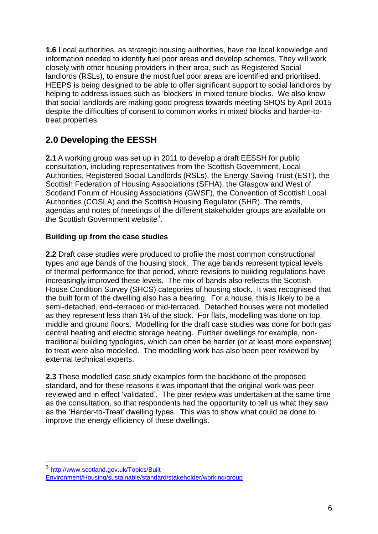**1.6** Local authorities, as strategic housing authorities, have the local knowledge and information needed to identify fuel poor areas and develop schemes. They will work closely with other housing providers in their area, such as Registered Social landlords (RSLs), to ensure the most fuel poor areas are identified and prioritised. HEEPS is being designed to be able to offer significant support to social landlords by helping to address issues such as "blockers" in mixed tenure blocks. We also know that social landlords are making good progress towards meeting SHQS by April 2015 despite the difficulties of consent to common works in mixed blocks and harder-totreat properties.

# **2.0 Developing the EESSH**

**2.1** A working group was set up in 2011 to develop a draft EESSH for public consultation, including representatives from the Scottish Government, Local Authorities, Registered Social Landlords (RSLs), the Energy Saving Trust (EST), the Scottish Federation of Housing Associations (SFHA), the Glasgow and West of Scotland Forum of Housing Associations (GWSF), the Convention of Scottish Local Authorities (COSLA) and the Scottish Housing Regulator (SHR). The remits, agendas and notes of meetings of the different stakeholder groups are available on the Scottish Government website<sup>3</sup>.

# **Building up from the case studies**

**2.2** Draft case studies were produced to profile the most common constructional types and age bands of the housing stock. The age bands represent typical levels of thermal performance for that period, where revisions to building regulations have increasingly improved these levels. The mix of bands also reflects the Scottish House Condition Survey (SHCS) categories of housing stock. It was recognised that the built form of the dwelling also has a bearing. For a house, this is likely to be a semi-detached, end–terraced or mid-terraced. Detached houses were not modelled as they represent less than 1% of the stock. For flats, modelling was done on top, middle and ground floors. Modelling for the draft case studies was done for both gas central heating and electric storage heating. Further dwellings for example, nontraditional building typologies, which can often be harder (or at least more expensive) to treat were also modelled. The modelling work has also been peer reviewed by external technical experts.

**2.3** These modelled case study examples form the backbone of the proposed standard, and for these reasons it was important that the original work was peer reviewed and in effect "validated". The peer review was undertaken at the same time as the consultation, so that respondents had the opportunity to tell us what they saw as the "Harder-to-Treat" dwelling types. This was to show what could be done to improve the energy efficiency of these dwellings.

<u>.</u>

<sup>3</sup> [http://www.scotland.gov.uk/Topics/Built-](http://www.scotland.gov.uk/Topics/Built-Environment/Housing/sustainable/standard/stakeholder/working/group)[Environment/Housing/sustainable/standard/stakeholder/working/group](http://www.scotland.gov.uk/Topics/Built-Environment/Housing/sustainable/standard/stakeholder/working/group)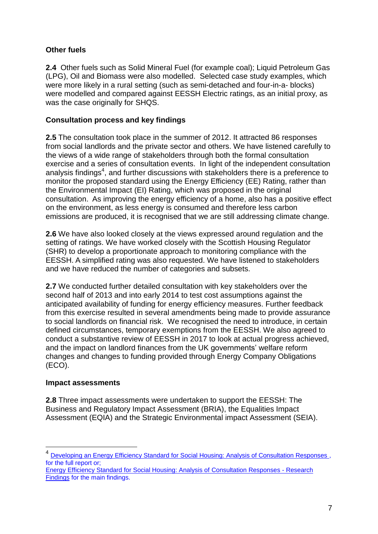## **Other fuels**

**2.4** Other fuels such as Solid Mineral Fuel (for example coal); Liquid Petroleum Gas (LPG), Oil and Biomass were also modelled. Selected case study examples, which were more likely in a rural setting (such as semi-detached and four-in-a- blocks) were modelled and compared against EESSH Electric ratings, as an initial proxy, as was the case originally for SHQS.

## **Consultation process and key findings**

**2.5** The consultation took place in the summer of 2012. It attracted 86 responses from social landlords and the private sector and others. We have listened carefully to the views of a wide range of stakeholders through both the formal consultation exercise and a series of consultation events. In light of the independent consultation analysis findings<sup>4</sup>, and further discussions with stakeholders there is a preference to monitor the proposed standard using the Energy Efficiency (EE) Rating, rather than the Environmental Impact (EI) Rating, which was proposed in the original consultation. As improving the energy efficiency of a home, also has a positive effect on the environment, as less energy is consumed and therefore less carbon emissions are produced, it is recognised that we are still addressing climate change.

**2.6** We have also looked closely at the views expressed around regulation and the setting of ratings. We have worked closely with the Scottish Housing Regulator (SHR) to develop a proportionate approach to monitoring compliance with the EESSH. A simplified rating was also requested. We have listened to stakeholders and we have reduced the number of categories and subsets.

**2.7** We conducted further detailed consultation with key stakeholders over the second half of 2013 and into early 2014 to test cost assumptions against the anticipated availability of funding for energy efficiency measures. Further feedback from this exercise resulted in several amendments being made to provide assurance to social landlords on financial risk. We recognised the need to introduce, in certain defined circumstances, temporary exemptions from the EESSH. We also agreed to conduct a substantive review of EESSH in 2017 to look at actual progress achieved, and the impact on landlord finances from the UK governments' welfare reform changes and changes to funding provided through Energy Company Obligations (ECO).

## **Impact assessments**

<u>.</u>

**2.8** Three impact assessments were undertaken to support the EESSH: The Business and Regulatory Impact Assessment (BRIA), the Equalities Impact Assessment (EQIA) and the Strategic Environmental impact Assessment (SEIA).

<sup>&</sup>lt;sup>4</sup> Developing an Energy Efficiency Standard for Social Housing: Analysis of Consultation Responses, for the full report or;

[Energy Efficiency Standard for Social Housing: Analysis of Consultation Responses - Research](http://www.scotland.gov.uk/Publications/2013/02/9924)  [Findings](http://www.scotland.gov.uk/Publications/2013/02/9924) for the main findings.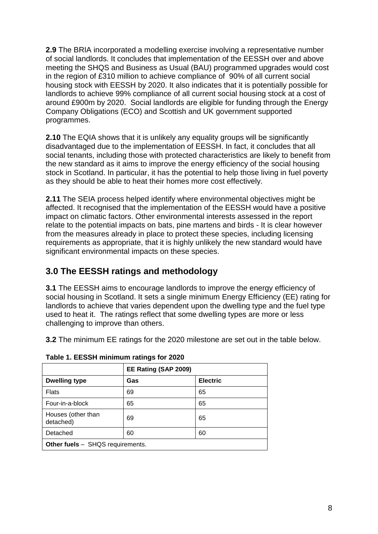**2.9** The BRIA incorporated a modelling exercise involving a representative number of social landlords. It concludes that implementation of the EESSH over and above meeting the SHQS and Business as Usual (BAU) programmed upgrades would cost in the region of £310 million to achieve compliance of 90% of all current social housing stock with EESSH by 2020. It also indicates that it is potentially possible for landlords to achieve 99% compliance of all current social housing stock at a cost of around £900m by 2020. Social landlords are eligible for funding through the Energy Company Obligations (ECO) and Scottish and UK government supported programmes.

**2.10** The EQIA shows that it is unlikely any equality groups will be significantly disadvantaged due to the implementation of EESSH. In fact, it concludes that all social tenants, including those with protected characteristics are likely to benefit from the new standard as it aims to improve the energy efficiency of the social housing stock in Scotland. In particular, it has the potential to help those living in fuel poverty as they should be able to heat their homes more cost effectively.

**2.11** The SEIA process helped identify where environmental objectives might be affected. It recognised that the implementation of the EESSH would have a positive impact on climatic factors. Other environmental interests assessed in the report relate to the potential impacts on bats, pine martens and birds - It is clear however from the measures already in place to protect these species, including licensing requirements as appropriate, that it is highly unlikely the new standard would have significant environmental impacts on these species.

# **3.0 The EESSH ratings and methodology**

**3.1** The EESSH aims to encourage landlords to improve the energy efficiency of social housing in Scotland. It sets a single minimum Energy Efficiency (EE) rating for landlords to achieve that varies dependent upon the dwelling type and the fuel type used to heat it. The ratings reflect that some dwelling types are more or less challenging to improve than others.

**3.2** The minimum EE ratings for the 2020 milestone are set out in the table below.

|  |  | Table 1. EESSH minimum ratings for 2020 |  |  |  |
|--|--|-----------------------------------------|--|--|--|
|--|--|-----------------------------------------|--|--|--|

|                                         | EE Rating (SAP 2009) |                 |  |  |
|-----------------------------------------|----------------------|-----------------|--|--|
| <b>Dwelling type</b>                    | Gas                  | <b>Electric</b> |  |  |
| <b>Flats</b>                            | 69                   | 65              |  |  |
| Four-in-a-block                         | 65                   | 65              |  |  |
| Houses (other than<br>detached)         | 69                   | 65              |  |  |
| Detached                                | 60                   | 60              |  |  |
| <b>Other fuels</b> - SHQS requirements. |                      |                 |  |  |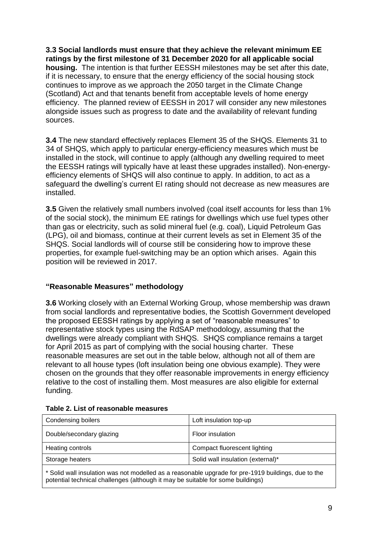**3.3 Social landlords must ensure that they achieve the relevant minimum EE ratings by the first milestone of 31 December 2020 for all applicable social housing.** The intention is that further EESSH milestones may be set after this date, if it is necessary, to ensure that the energy efficiency of the social housing stock continues to improve as we approach the 2050 target in the Climate Change (Scotland) Act and that tenants benefit from acceptable levels of home energy efficiency. The planned review of EESSH in 2017 will consider any new milestones alongside issues such as progress to date and the availability of relevant funding sources.

**3.4** The new standard effectively replaces Element 35 of the SHQS. Elements 31 to 34 of SHQS, which apply to particular energy-efficiency measures which must be installed in the stock, will continue to apply (although any dwelling required to meet the EESSH ratings will typically have at least these upgrades installed). Non-energyefficiency elements of SHQS will also continue to apply. In addition, to act as a safeguard the dwelling's current EI rating should not decrease as new measures are installed.

**3.5** Given the relatively small numbers involved (coal itself accounts for less than 1% of the social stock), the minimum EE ratings for dwellings which use fuel types other than gas or electricity, such as solid mineral fuel (e.g. coal), Liquid Petroleum Gas (LPG), oil and biomass, continue at their current levels as set in Element 35 of the SHQS. Social landlords will of course still be considering how to improve these properties, for example fuel-switching may be an option which arises. Again this position will be reviewed in 2017.

## **"Reasonable Measures" methodology**

**3.6** Working closely with an External Working Group, whose membership was drawn from social landlords and representative bodies, the Scottish Government developed the proposed EESSH ratings by applying a set of "reasonable measures" to representative stock types using the RdSAP methodology, assuming that the dwellings were already compliant with SHQS. SHQS compliance remains a target for April 2015 as part of complying with the social housing charter. These reasonable measures are set out in the table below, although not all of them are relevant to all house types (loft insulation being one obvious example). They were chosen on the grounds that they offer reasonable improvements in energy efficiency relative to the cost of installing them. Most measures are also eligible for external funding.

| Condensing boilers       | Loft insulation top-up            |
|--------------------------|-----------------------------------|
| Double/secondary glazing | Floor insulation                  |
| Heating controls         | Compact fluorescent lighting      |
| Storage heaters          | Solid wall insulation (external)* |
|                          |                                   |

#### **Table 2. List of reasonable measures**

\* Solid wall insulation was not modelled as a reasonable upgrade for pre-1919 buildings, due to the potential technical challenges (although it may be suitable for some buildings)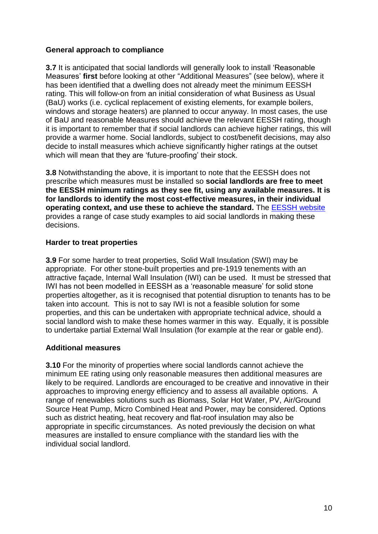## **General approach to compliance**

**3.7** It is anticipated that social landlords will generally look to install 'Reasonable Measures" **first** before looking at other "Additional Measures" (see below), where it has been identified that a dwelling does not already meet the minimum EESSH rating. This will follow-on from an initial consideration of what Business as Usual (BaU) works (i.e. cyclical replacement of existing elements, for example boilers, windows and storage heaters) are planned to occur anyway. In most cases, the use of BaU and reasonable Measures should achieve the relevant EESSH rating, though it is important to remember that if social landlords can achieve higher ratings, this will provide a warmer home. Social landlords, subject to cost/benefit decisions, may also decide to install measures which achieve significantly higher ratings at the outset which will mean that they are 'future-proofing' their stock.

**3.8** Notwithstanding the above, it is important to note that the EESSH does not prescribe which measures must be installed so **social landlords are free to meet the EESSH minimum ratings as they see fit, using any available measures. It is for landlords to identify the most cost-effective measures, in their individual operating context, and use these to achieve the standard.** The [EESSH website](http://www.energyefficientsocialhousing.org/) provides a range of case study examples to aid social landlords in making these decisions.

## **Harder to treat properties**

**3.9** For some harder to treat properties, Solid Wall Insulation (SWI) may be appropriate. For other stone-built properties and pre-1919 tenements with an attractive façade, Internal Wall Insulation (IWI) can be used. It must be stressed that IWI has not been modelled in EESSH as a "reasonable measure" for solid stone properties altogether, as it is recognised that potential disruption to tenants has to be taken into account. This is not to say IWI is not a feasible solution for some properties, and this can be undertaken with appropriate technical advice, should a social landlord wish to make these homes warmer in this way. Equally, it is possible to undertake partial External Wall Insulation (for example at the rear or gable end).

## **Additional measures**

**3.10** For the minority of properties where social landlords cannot achieve the minimum EE rating using only reasonable measures then additional measures are likely to be required. Landlords are encouraged to be creative and innovative in their approaches to improving energy efficiency and to assess all available options. A range of renewables solutions such as Biomass, Solar Hot Water, PV, Air/Ground Source Heat Pump, Micro Combined Heat and Power, may be considered. Options such as district heating, heat recovery and flat-roof insulation may also be appropriate in specific circumstances. As noted previously the decision on what measures are installed to ensure compliance with the standard lies with the individual social landlord.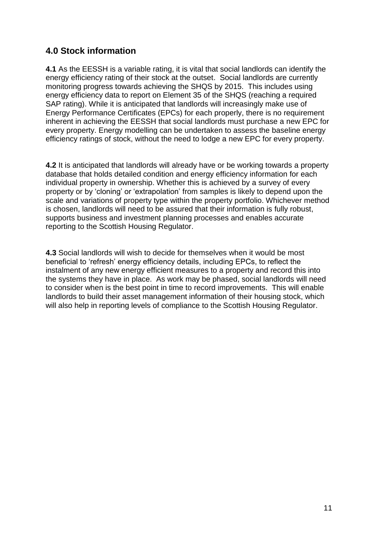# **4.0 Stock information**

**4.1** As the EESSH is a variable rating, it is vital that social landlords can identify the energy efficiency rating of their stock at the outset. Social landlords are currently monitoring progress towards achieving the SHQS by 2015. This includes using energy efficiency data to report on Element 35 of the SHQS (reaching a required SAP rating). While it is anticipated that landlords will increasingly make use of Energy Performance Certificates (EPCs) for each properly, there is no requirement inherent in achieving the EESSH that social landlords must purchase a new EPC for every property. Energy modelling can be undertaken to assess the baseline energy efficiency ratings of stock, without the need to lodge a new EPC for every property.

**4.2** It is anticipated that landlords will already have or be working towards a property database that holds detailed condition and energy efficiency information for each individual property in ownership. Whether this is achieved by a survey of every property or by "cloning" or "extrapolation" from samples is likely to depend upon the scale and variations of property type within the property portfolio. Whichever method is chosen, landlords will need to be assured that their information is fully robust, supports business and investment planning processes and enables accurate reporting to the Scottish Housing Regulator.

**4.3** Social landlords will wish to decide for themselves when it would be most beneficial to "refresh" energy efficiency details, including EPCs, to reflect the instalment of any new energy efficient measures to a property and record this into the systems they have in place. As work may be phased, social landlords will need to consider when is the best point in time to record improvements. This will enable landlords to build their asset management information of their housing stock, which will also help in reporting levels of compliance to the Scottish Housing Regulator.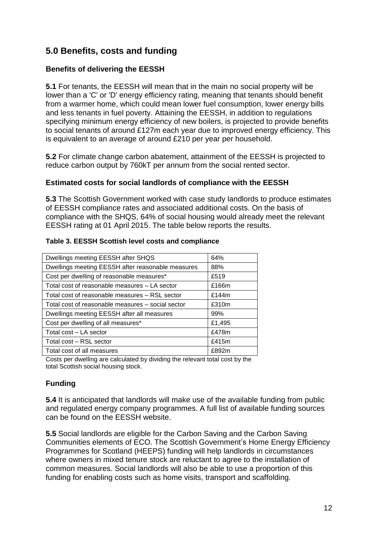# **5.0 Benefits, costs and funding**

## **Benefits of delivering the EESSH**

**5.1** For tenants, the EESSH will mean that in the main no social property will be lower than a 'C' or 'D' energy efficiency rating, meaning that tenants should benefit from a warmer home, which could mean lower fuel consumption, lower energy bills and less tenants in fuel poverty. Attaining the EESSH, in addition to regulations specifying minimum energy efficiency of new boilers, is projected to provide benefits to social tenants of around £127m each year due to improved energy efficiency. This is equivalent to an average of around £210 per year per household.

**5.2** For climate change carbon abatement, attainment of the EESSH is projected to reduce carbon output by 760kT per annum from the social rented sector.

## **Estimated costs for social landlords of compliance with the EESSH**

**5.3** The Scottish Government worked with case study landlords to produce estimates of EESSH compliance rates and associated additional costs. On the basis of compliance with the SHQS, 64% of social housing would already meet the relevant EESSH rating at 01 April 2015. The table below reports the results.

| 64%    |
|--------|
| 88%    |
| £519   |
| £166m  |
| £144m  |
| £310m  |
| 99%    |
| £1,495 |
| £478m  |
| £415m  |
| £892m  |
|        |

## **Table 3. EESSH Scottish level costs and compliance**

Costs per dwelling are calculated by dividing the relevant total cost by the total Scottish social housing stock.

# **Funding**

**5.4** It is anticipated that landlords will make use of the available funding from public and regulated energy company programmes. A full list of available funding sources can be found on the EESSH website.

**5.5** Social landlords are eligible for the Carbon Saving and the Carbon Saving Communities elements of ECO. The Scottish Government"s Home Energy Efficiency Programmes for Scotland (HEEPS) funding will help landlords in circumstances where owners in mixed tenure stock are reluctant to agree to the installation of common measures. Social landlords will also be able to use a proportion of this funding for enabling costs such as home visits, transport and scaffolding.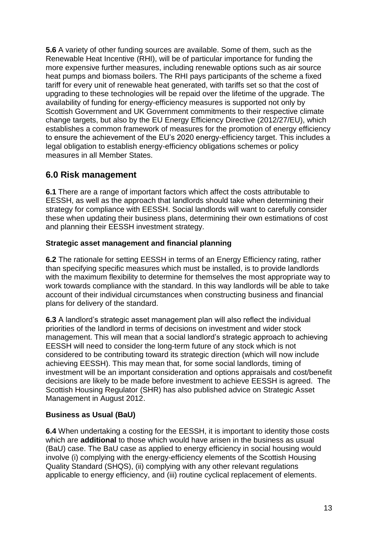**5.6** A variety of other funding sources are available. Some of them, such as the Renewable Heat Incentive (RHI), will be of particular importance for funding the more expensive further measures, including renewable options such as air source heat pumps and biomass boilers. The RHI pays participants of the scheme a fixed tariff for every unit of renewable heat generated, with tariffs set so that the cost of upgrading to these technologies will be repaid over the lifetime of the upgrade. The availability of funding for energy-efficiency measures is supported not only by Scottish Government and UK Government commitments to their respective climate change targets, but also by the EU Energy Efficiency Directive (2012/27/EU), which establishes a common framework of measures for the promotion of energy efficiency to ensure the achievement of the EU"s 2020 energy-efficiency target. This includes a legal obligation to establish energy-efficiency obligations schemes or policy measures in all Member States.

# **6.0 Risk management**

**6.1** There are a range of important factors which affect the costs attributable to EESSH, as well as the approach that landlords should take when determining their strategy for compliance with EESSH. Social landlords will want to carefully consider these when updating their business plans, determining their own estimations of cost and planning their EESSH investment strategy.

# **Strategic asset management and financial planning**

**6.2** The rationale for setting EESSH in terms of an Energy Efficiency rating, rather than specifying specific measures which must be installed, is to provide landlords with the maximum flexibility to determine for themselves the most appropriate way to work towards compliance with the standard. In this way landlords will be able to take account of their individual circumstances when constructing business and financial plans for delivery of the standard.

**6.3** A landlord"s strategic asset management plan will also reflect the individual priorities of the landlord in terms of decisions on investment and wider stock management. This will mean that a social landlord"s strategic approach to achieving EESSH will need to consider the long-term future of any stock which is not considered to be contributing toward its strategic direction (which will now include achieving EESSH). This may mean that, for some social landlords, timing of investment will be an important consideration and options appraisals and cost/benefit decisions are likely to be made before investment to achieve EESSH is agreed. The Scottish Housing Regulator (SHR) has also published advice on Strategic Asset Management in August 2012.

# **Business as Usual (BaU)**

**6.4** When undertaking a costing for the EESSH, it is important to identity those costs which are **additional** to those which would have arisen in the business as usual (BaU) case. The BaU case as applied to energy efficiency in social housing would involve (i) complying with the energy-efficiency elements of the Scottish Housing Quality Standard (SHQS), (ii) complying with any other relevant regulations applicable to energy efficiency, and (iii) routine cyclical replacement of elements.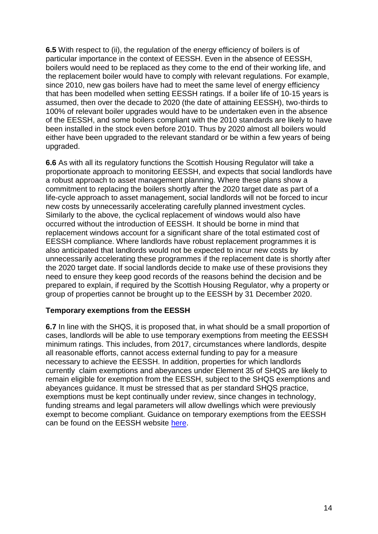**6.5** With respect to (ii), the regulation of the energy efficiency of boilers is of particular importance in the context of EESSH. Even in the absence of EESSH, boilers would need to be replaced as they come to the end of their working life, and the replacement boiler would have to comply with relevant regulations. For example, since 2010, new gas boilers have had to meet the same level of energy efficiency that has been modelled when setting EESSH ratings. If a boiler life of 10-15 years is assumed, then over the decade to 2020 (the date of attaining EESSH), two-thirds to 100% of relevant boiler upgrades would have to be undertaken even in the absence of the EESSH, and some boilers compliant with the 2010 standards are likely to have been installed in the stock even before 2010. Thus by 2020 almost all boilers would either have been upgraded to the relevant standard or be within a few years of being upgraded.

**6.6** As with all its regulatory functions the Scottish Housing Regulator will take a proportionate approach to monitoring EESSH, and expects that social landlords have a robust approach to asset management planning. Where these plans show a commitment to replacing the boilers shortly after the 2020 target date as part of a life-cycle approach to asset management, social landlords will not be forced to incur new costs by unnecessarily accelerating carefully planned investment cycles. Similarly to the above, the cyclical replacement of windows would also have occurred without the introduction of EESSH. It should be borne in mind that replacement windows account for a significant share of the total estimated cost of EESSH compliance. Where landlords have robust replacement programmes it is also anticipated that landlords would not be expected to incur new costs by unnecessarily accelerating these programmes if the replacement date is shortly after the 2020 target date. If social landlords decide to make use of these provisions they need to ensure they keep good records of the reasons behind the decision and be prepared to explain, if required by the Scottish Housing Regulator, why a property or group of properties cannot be brought up to the EESSH by 31 December 2020.

## **Temporary exemptions from the EESSH**

**6.7** In line with the SHQS, it is proposed that, in what should be a small proportion of cases, landlords will be able to use temporary exemptions from meeting the EESSH minimum ratings. This includes, from 2017, circumstances where landlords, despite all reasonable efforts, cannot access external funding to pay for a measure necessary to achieve the EESSH. In addition, properties for which landlords currently claim exemptions and abeyances under Element 35 of SHQS are likely to remain eligible for exemption from the EESSH, subject to the SHQS exemptions and abeyances guidance. It must be stressed that as per standard SHQS practice, exemptions must be kept continually under review, since changes in technology, funding streams and legal parameters will allow dwellings which were previously exempt to become compliant. Guidance on temporary exemptions from the EESSH can be found on the EESSH website [here.](http://www.energyefficientsocialhousing.org/)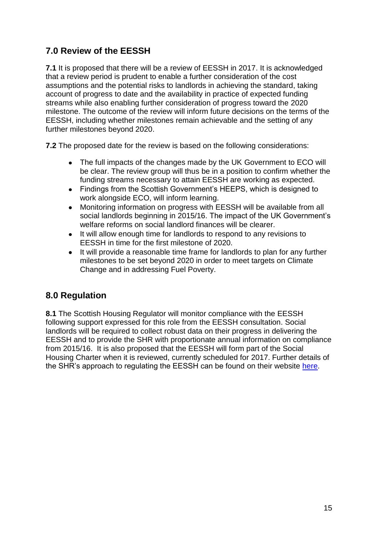# **7.0 Review of the EESSH**

**7.1** It is proposed that there will be a review of EESSH in 2017. It is acknowledged that a review period is prudent to enable a further consideration of the cost assumptions and the potential risks to landlords in achieving the standard, taking account of progress to date and the availability in practice of expected funding streams while also enabling further consideration of progress toward the 2020 milestone. The outcome of the review will inform future decisions on the terms of the EESSH, including whether milestones remain achievable and the setting of any further milestones beyond 2020.

**7.2** The proposed date for the review is based on the following considerations:

- The full impacts of the changes made by the UK Government to ECO will be clear. The review group will thus be in a position to confirm whether the funding streams necessary to attain EESSH are working as expected.
- Findings from the Scottish Government's HEEPS, which is designed to  $\bullet$ work alongside ECO, will inform learning.
- Monitoring information on progress with EESSH will be available from all social landlords beginning in 2015/16. The impact of the UK Government's welfare reforms on social landlord finances will be clearer.
- It will allow enough time for landlords to respond to any revisions to EESSH in time for the first milestone of 2020.
- It will provide a reasonable time frame for landlords to plan for any further milestones to be set beyond 2020 in order to meet targets on Climate Change and in addressing Fuel Poverty.

# **8.0 Regulation**

**8.1** The Scottish Housing Regulator will monitor compliance with the EESSH following support expressed for this role from the EESSH consultation. Social landlords will be required to collect robust data on their progress in delivering the EESSH and to provide the SHR with proportionate annual information on compliance from 2015/16. It is also proposed that the EESSH will form part of the Social Housing Charter when it is reviewed, currently scheduled for 2017. Further details of the SHR"s approach to regulating the EESSH can be found on their website [here.](http://www.scottishhousingregulator.gov.uk/)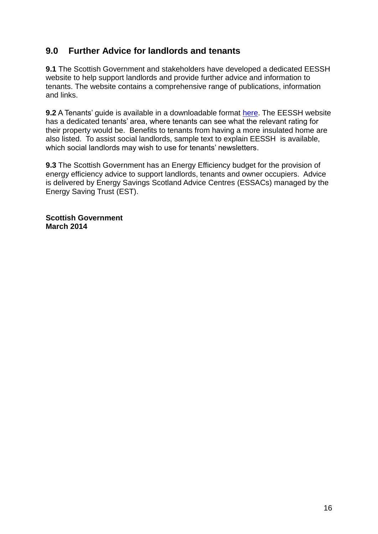# **9.0 Further Advice for landlords and tenants**

**9.1** The Scottish Government and stakeholders have developed a dedicated EESSH website to help support landlords and provide further advice and information to tenants. The website contains a comprehensive range of publications, information and links.

**9.2** A Tenants' guide is available in a downloadable format [here.](http://www.energyefficientsocialhousing.org/) The EESSH website has a dedicated tenants" area, where tenants can see what the relevant rating for their property would be. Benefits to tenants from having a more insulated home are also listed. To assist social landlords, sample text to explain EESSH is available, which social landlords may wish to use for tenants' newsletters.

**9.3** The Scottish Government has an Energy Efficiency budget for the provision of energy efficiency advice to support landlords, tenants and owner occupiers. Advice is delivered by Energy Savings Scotland Advice Centres (ESSACs) managed by the Energy Saving Trust (EST).

**Scottish Government March 2014**